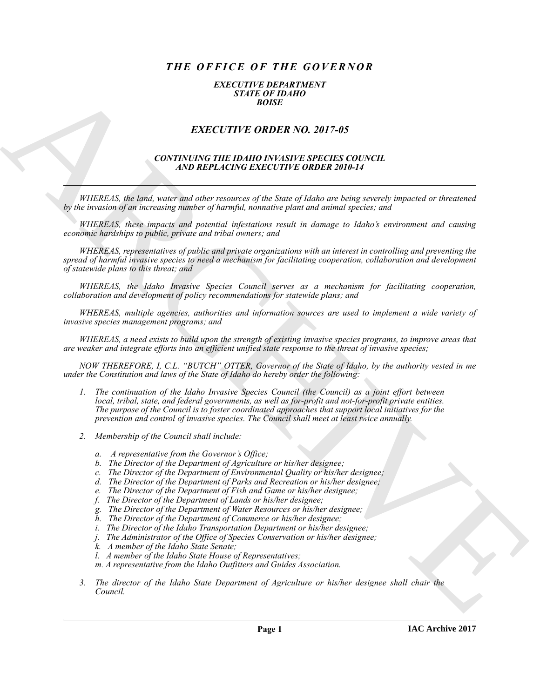# *THE OFFICE OF THE GOVERNOR*

#### *EXECUTIVE DEPARTMENT STATE OF IDAHO BOISE*

## *EXECUTIVE ORDER NO. 2017-05*

### *CONTINUING THE IDAHO INVASIVE SPECIES COUNCIL AND REPLACING EXECUTIVE ORDER 2010-14*

*WHEREAS, the land, water and other resources of the State of Idaho are being severely impacted or threatened by the invasion of an increasing number of harmful, nonnative plant and animal species; and*

*WHEREAS, these impacts and potential infestations result in damage to Idaho's environment and causing economic hardships to public, private and tribal owners; and*

*WHEREAS, representatives of public and private organizations with an interest in controlling and preventing the spread of harmful invasive species to need a mechanism for facilitating cooperation, collaboration and development of statewide plans to this threat; and*

*WHEREAS, the Idaho Invasive Species Council serves as a mechanism for facilitating cooperation, collaboration and development of policy recommendations for statewide plans; and*

*WHEREAS, multiple agencies, authorities and information sources are used to implement a wide variety of invasive species management programs; and*

*WHEREAS, a need exists to build upon the strength of existing invasive species programs, to improve areas that are weaker and integrate efforts into an efficient unified state response to the threat of invasive species;*

*NOW THEREFORE, I, C.L. "BUTCH" OTTER, Governor of the State of Idaho, by the authority vested in me under the Constitution and laws of the State of Idaho do hereby order the following:*

- **EXACT THE ORDER NO. 2017-45**<br> **EXACT THE ORDER NO. 2017-45**<br> **EXACT THE ORDER NO. 2017-45**<br> **EXACT THE ORDER NO. 2017-45**<br> **ARCHIVE CONSULS AND INFORMATION (SECULAR CONSULS)**<br> **ARREST ACTION CONSULS ARE CONSULS AND CONSU** *1. The continuation of the Idaho Invasive Species Council (the Council) as a joint effort between local, tribal, state, and federal governments, as well as for-profit and not-for-profit private entities. The purpose of the Council is to foster coordinated approaches that support local initiatives for the prevention and control of invasive species. The Council shall meet at least twice annually.*
	- *2. Membership of the Council shall include:*
		- *a. A representative from the Governor's Office;*
		- *b. The Director of the Department of Agriculture or his/her designee;*
		- *c. The Director of the Department of Environmental Quality or his/her designee;*
		- *d. The Director of the Department of Parks and Recreation or his/her designee;*
		- *e. The Director of the Department of Fish and Game or his/her designee;*
		- *f. The Director of the Department of Lands or his/her designee;*
		- *g. The Director of the Department of Water Resources or his/her designee;*
		- *h. The Director of the Department of Commerce or his/her designee;*
		- *i. The Director of the Idaho Transportation Department or his/her designee;*
		- *j. The Administrator of the Office of Species Conservation or his/her designee;*
		- *k. A member of the Idaho State Senate;*
		- *l. A member of the Idaho State House of Representatives;*
		- *m. A representative from the Idaho Outfitters and Guides Association.*
	- *3. The director of the Idaho State Department of Agriculture or his/her designee shall chair the Council.*